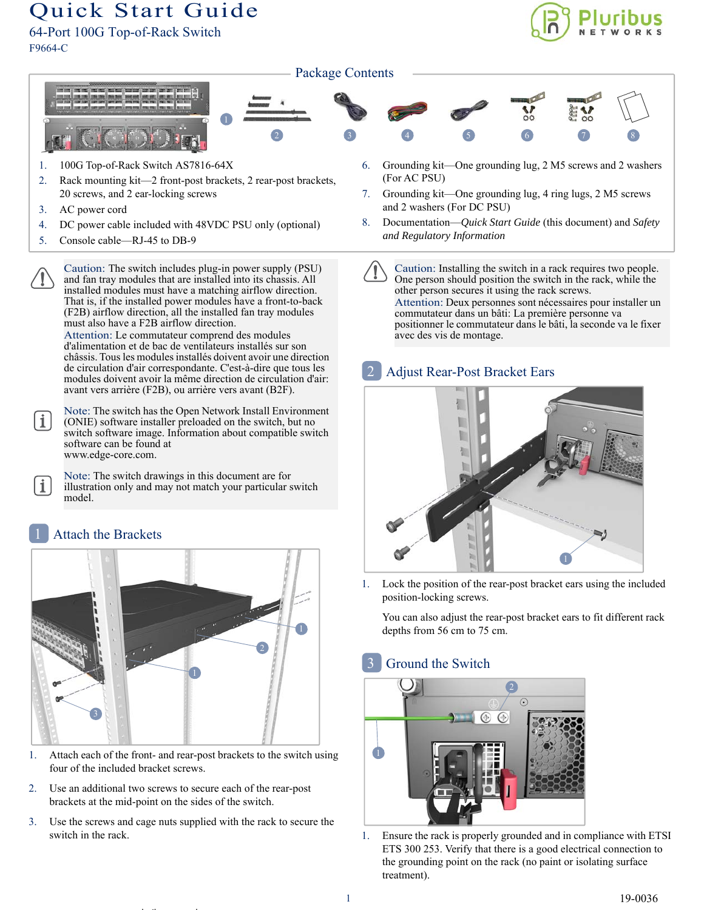# Quick Start Guide

64-Port 100G Top-of-Rack Switch F9664-C





- 1. 100G Top-of-Rack Switch AS7816-64X
- 2. Rack mounting kit—2 front-post brackets, 2 rear-post brackets, 20 screws, and 2 ear-locking screws
- 3. AC power cord

 $\mathbf{i}$ 

 $\mathbf i$ 

- 4. DC power cable included with 48VDC PSU only (optional)
- 5. Console cable—RJ-45 to DB-9
	- Caution: The switch includes plug-in power supply (PSU) and fan tray modules that are installed into its chassis. All installed modules must have a matching airflow direction. That is, if the installed power modules have a front-to-back (F2B) airflow direction, all the installed fan tray modules must also have a F2B airflow direction.

Attention: Le commutateur comprend des modules d'alimentation et de bac de ventilateurs installés sur son châssis. Tous les modules installés doivent avoir une direction de circulation d'air correspondante. C'est-à-dire que tous les modules doivent avoir la même direction de circulation d'air: avant vers arrière (F2B), ou arrière vers avant (B2F).

Note: The switch has the Open Network Install Environment (ONIE) software installer preloaded on the switch, but no switch software image. Information about compatible switch software can be found at www.edge-core.com.

Note: The switch drawings in this document are for illustration only and may not match your particular switch model.

## Attach the Brackets



- 1. Attach each of the front- and rear-post brackets to the switch using four of the included bracket screws.
- 2. Use an additional two screws to secure each of the rear-post brackets at the mid-point on the sides of the switch.

l ib k

3. Use the screws and cage nuts supplied with the rack to secure the switch in the rack.

- 6. Grounding kit—One grounding lug, 2 M5 screws and 2 washers (For AC PSU)
- 7. Grounding kit—One grounding lug, 4 ring lugs, 2 M5 screws and 2 washers (For DC PSU)
- 8. Documentation—*Quick Start Guide* (this document) and *Safety and Regulatory Information*

Caution: Installing the switch in a rack requires two people. One person should position the switch in the rack, while the other person secures it using the rack screws. Attention: Deux personnes sont nécessaires pour installer un commutateur dans un bâti: La première personne va positionner le commutateur dans le bâti, la seconde va le fixer avec des vis de montage.

#### Adjust Rear-Post Bracket Ears 2



1. Lock the position of the rear-post bracket ears using the included position-locking screws.

You can also adjust the rear-post bracket ears to fit different rack depths from 56 cm to 75 cm.

## Ground the Switch



1. Ensure the rack is properly grounded and in compliance with ETSI ETS 300 253. Verify that there is a good electrical connection to the grounding point on the rack (no paint or isolating surface treatment).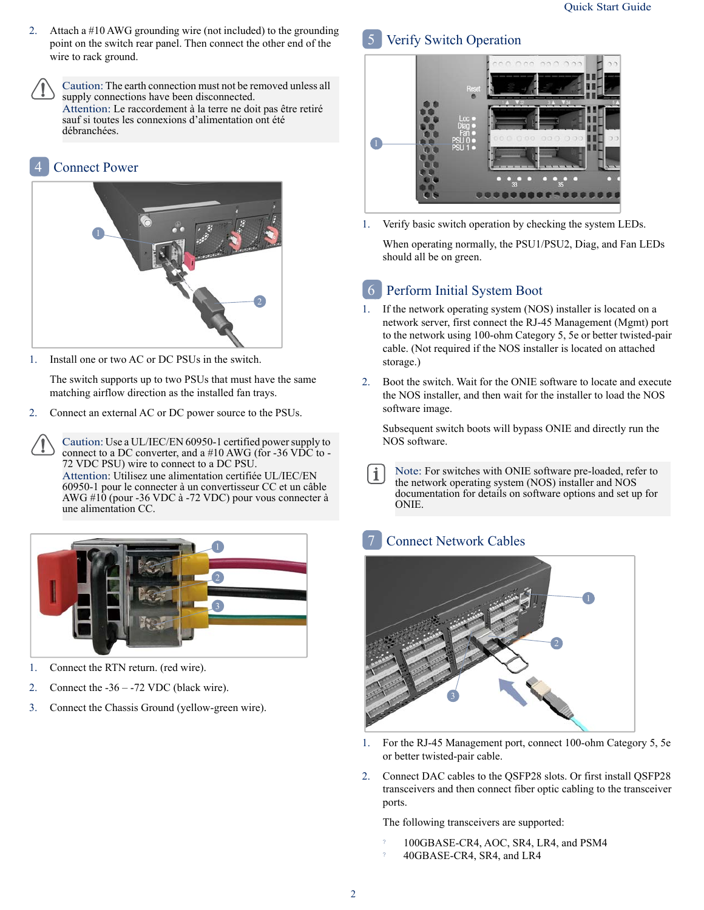2. Attach a #10 AWG grounding wire (not included) to the grounding point on the switch rear panel. Then connect the other end of the wire to rack ground.

Caution: The earth connection must not be removed unless all supply connections have been disconnected. Attention: Le raccordement à la terre ne doit pas être retiré sauf si toutes les connexions d'alimentation ont été débranchées.





1. Install one or two AC or DC PSUs in the switch.

The switch supports up to two PSUs that must have the same matching airflow direction as the installed fan trays.

2. Connect an external AC or DC power source to the PSUs.

Caution: Use a UL/IEC/EN 60950-1 certified power supply to connect to a DC converter, and a  $#10$  AWG (for -36 VDC to -72 VDC PSU) wire to connect to a DC PSU. Attention: Utilisez une alimentation certifiée UL/IEC/EN 60950-1 pour le connecter à un convertisseur CC et un câble AWG #10 (pour -36 VDC à -72 VDC) pour vous connecter à une alimentation CC.



- 1. Connect the RTN return. (red wire).
- 2. Connect the -36 -72 VDC (black wire).
- 3. Connect the Chassis Ground (yellow-green wire).

#### Verify Switch Operation 5



1. Verify basic switch operation by checking the system LEDs.

When operating normally, the PSU1/PSU2, Diag, and Fan LEDs should all be on green.

# Perform Initial System Boot 6

- 1. If the network operating system (NOS) installer is located on a network server, first connect the RJ-45 Management (Mgmt) port to the network using 100-ohm Category 5, 5e or better twisted-pair cable. (Not required if the NOS installer is located on attached storage.)
- 2. Boot the switch. Wait for the ONIE software to locate and execute the NOS installer, and then wait for the installer to load the NOS software image.

Subsequent switch boots will bypass ONIE and directly run the NOS software.

Note: For switches with ONIE software pre-loaded, refer to  $\mathbf i$ the network operating system (NOS) installer and NOS documentation for details on software options and set up for ONIE.

#### Connect Network Cables 7



- 1. For the RJ-45 Management port, connect 100-ohm Category 5, 5e or better twisted-pair cable.
- 2. Connect DAC cables to the QSFP28 slots. Or first install QSFP28 transceivers and then connect fiber optic cabling to the transceiver ports.

The following transceivers are supported:

- ? 100GBASE-CR4, AOC, SR4, LR4, and PSM4
- ? 40GBASE-CR4, SR4, and LR4